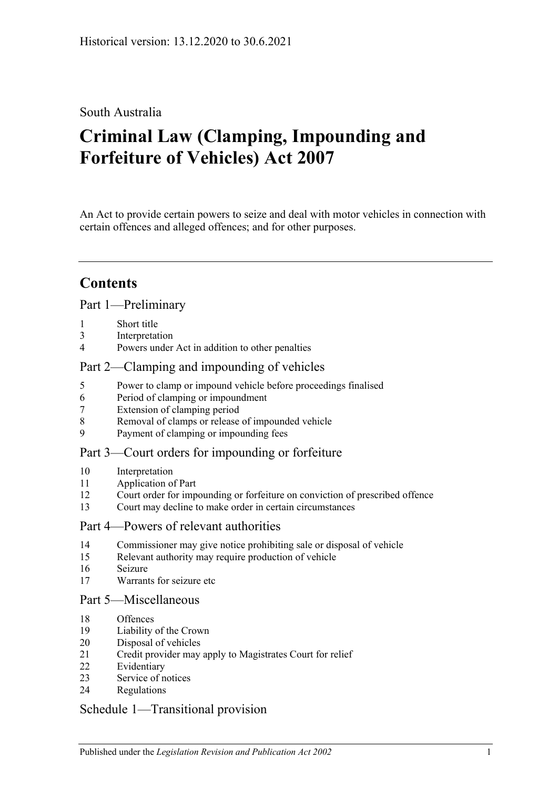## South Australia

# **Criminal Law (Clamping, Impounding and Forfeiture of Vehicles) Act 2007**

An Act to provide certain powers to seize and deal with motor vehicles in connection with certain offences and alleged offences; and for other purposes.

# **Contents**

#### [Part 1—Preliminary](#page-1-0)

- [Short title](#page-1-1)
- [Interpretation](#page-1-2)
- [Powers under Act in addition to other penalties](#page-2-0)

### [Part 2—Clamping and impounding of vehicles](#page-2-1)

- [Power to clamp or impound vehicle before proceedings finalised](#page-2-2)
- [Period of clamping or impoundment](#page-3-0)
- [Extension of clamping period](#page-3-1)
- [Removal of clamps or release of impounded vehicle](#page-4-0)
- [Payment of clamping or impounding fees](#page-6-0)

### [Part 3—Court orders for impounding or forfeiture](#page-6-1)

- [Interpretation](#page-6-2)
- [Application of Part](#page-6-3)
- [Court order for impounding or forfeiture on conviction of prescribed offence](#page-7-0)
- [Court may decline to make order in certain circumstances](#page-8-0)

#### [Part 4—Powers of relevant authorities](#page-8-1)

- [Commissioner may give notice prohibiting sale or disposal of vehicle](#page-8-2)
- [Relevant authority may require production of vehicle](#page-10-0)
- [Seizure](#page-10-1)
- [Warrants for seizure etc](#page-11-0)

### [Part 5—Miscellaneous](#page-13-0)

- [Offences](#page-13-1)
- [Liability of the Crown](#page-13-2)
- [Disposal of vehicles](#page-13-3)
- [Credit provider may apply to Magistrates Court for relief](#page-15-0)
- [Evidentiary](#page-15-1)
- [Service of notices](#page-16-0)
- [Regulations](#page-16-1)

### [Schedule 1—Transitional provision](#page-17-0)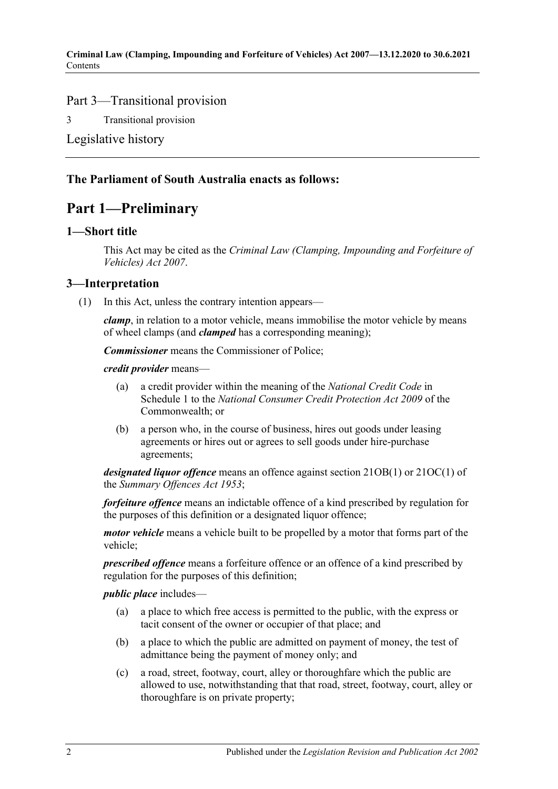### Part 3—Transitional provision

3 [Transitional provision](#page-17-1)

[Legislative history](#page-18-0)

### <span id="page-1-0"></span>**The Parliament of South Australia enacts as follows:**

# **Part 1—Preliminary**

#### <span id="page-1-1"></span>**1—Short title**

This Act may be cited as the *Criminal Law (Clamping, Impounding and Forfeiture of Vehicles) Act 2007*.

### <span id="page-1-2"></span>**3—Interpretation**

(1) In this Act, unless the contrary intention appears—

*clamp*, in relation to a motor vehicle, means immobilise the motor vehicle by means of wheel clamps (and *clamped* has a corresponding meaning);

*Commissioner* means the Commissioner of Police;

*credit provider* means—

- (a) a credit provider within the meaning of the *National Credit Code* in Schedule 1 to the *National Consumer Credit Protection Act 2009* of the Commonwealth; or
- (b) a person who, in the course of business, hires out goods under leasing agreements or hires out or agrees to sell goods under hire-purchase agreements;

*designated liquor offence* means an offence against section 21OB(1) or 21OC(1) of the *[Summary Offences Act](http://www.legislation.sa.gov.au/index.aspx?action=legref&type=act&legtitle=Summary%20Offences%20Act%201953) 1953*;

*forfeiture offence* means an indictable offence of a kind prescribed by regulation for the purposes of this definition or a designated liquor offence;

*motor vehicle* means a vehicle built to be propelled by a motor that forms part of the vehicle;

*prescribed offence* means a forfeiture offence or an offence of a kind prescribed by regulation for the purposes of this definition;

*public place* includes—

- (a) a place to which free access is permitted to the public, with the express or tacit consent of the owner or occupier of that place; and
- (b) a place to which the public are admitted on payment of money, the test of admittance being the payment of money only; and
- (c) a road, street, footway, court, alley or thoroughfare which the public are allowed to use, notwithstanding that that road, street, footway, court, alley or thoroughfare is on private property;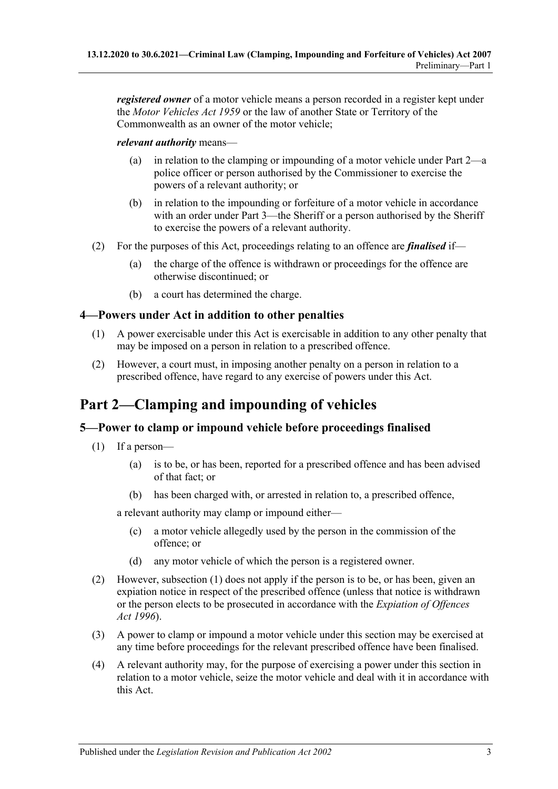*registered owner* of a motor vehicle means a person recorded in a register kept under the *[Motor Vehicles Act](http://www.legislation.sa.gov.au/index.aspx?action=legref&type=act&legtitle=Motor%20Vehicles%20Act%201959) 1959* or the law of another State or Territory of the Commonwealth as an owner of the motor vehicle;

#### *relevant authority* means—

- (a) in relation to the clamping or impounding of a motor vehicle under [Part 2—](#page-2-1)a police officer or person authorised by the Commissioner to exercise the powers of a relevant authority; or
- (b) in relation to the impounding or forfeiture of a motor vehicle in accordance with an order under [Part 3—](#page-6-1)the Sheriff or a person authorised by the Sheriff to exercise the powers of a relevant authority.
- (2) For the purposes of this Act, proceedings relating to an offence are *finalised* if—
	- (a) the charge of the offence is withdrawn or proceedings for the offence are otherwise discontinued; or
	- (b) a court has determined the charge.

### <span id="page-2-0"></span>**4—Powers under Act in addition to other penalties**

- (1) A power exercisable under this Act is exercisable in addition to any other penalty that may be imposed on a person in relation to a prescribed offence.
- (2) However, a court must, in imposing another penalty on a person in relation to a prescribed offence, have regard to any exercise of powers under this Act.

# <span id="page-2-1"></span>**Part 2—Clamping and impounding of vehicles**

### <span id="page-2-3"></span><span id="page-2-2"></span>**5—Power to clamp or impound vehicle before proceedings finalised**

- (1) If a person—
	- (a) is to be, or has been, reported for a prescribed offence and has been advised of that fact; or
	- (b) has been charged with, or arrested in relation to, a prescribed offence,

<span id="page-2-4"></span>a relevant authority may clamp or impound either—

- (c) a motor vehicle allegedly used by the person in the commission of the offence; or
- (d) any motor vehicle of which the person is a registered owner.
- (2) However, [subsection](#page-2-3) (1) does not apply if the person is to be, or has been, given an expiation notice in respect of the prescribed offence (unless that notice is withdrawn or the person elects to be prosecuted in accordance with the *[Expiation of Offences](http://www.legislation.sa.gov.au/index.aspx?action=legref&type=act&legtitle=Expiation%20of%20Offences%20Act%201996)  Act [1996](http://www.legislation.sa.gov.au/index.aspx?action=legref&type=act&legtitle=Expiation%20of%20Offences%20Act%201996)*).
- (3) A power to clamp or impound a motor vehicle under this section may be exercised at any time before proceedings for the relevant prescribed offence have been finalised.
- (4) A relevant authority may, for the purpose of exercising a power under this section in relation to a motor vehicle, seize the motor vehicle and deal with it in accordance with this Act.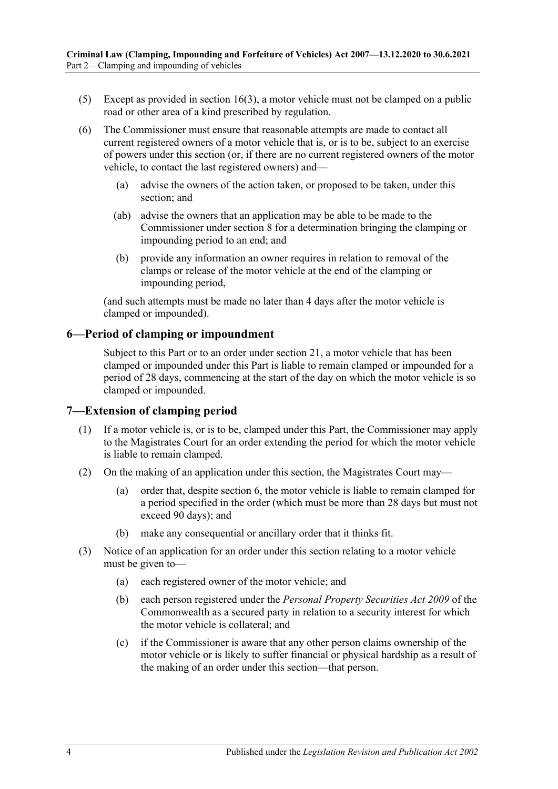- (5) Except as provided in [section](#page-11-1) 16(3), a motor vehicle must not be clamped on a public road or other area of a kind prescribed by regulation.
- (6) The Commissioner must ensure that reasonable attempts are made to contact all current registered owners of a motor vehicle that is, or is to be, subject to an exercise of powers under this section (or, if there are no current registered owners of the motor vehicle, to contact the last registered owners) and—
	- (a) advise the owners of the action taken, or proposed to be taken, under this section; and
	- (ab) advise the owners that an application may be able to be made to the Commissioner under [section](#page-4-0) 8 for a determination bringing the clamping or impounding period to an end; and
	- (b) provide any information an owner requires in relation to removal of the clamps or release of the motor vehicle at the end of the clamping or impounding period,

(and such attempts must be made no later than 4 days after the motor vehicle is clamped or impounded).

### <span id="page-3-0"></span>**6—Period of clamping or impoundment**

Subject to this Part or to an order under [section](#page-15-0) 21, a motor vehicle that has been clamped or impounded under this Part is liable to remain clamped or impounded for a period of 28 days, commencing at the start of the day on which the motor vehicle is so clamped or impounded.

#### <span id="page-3-1"></span>**7—Extension of clamping period**

- (1) If a motor vehicle is, or is to be, clamped under this Part, the Commissioner may apply to the Magistrates Court for an order extending the period for which the motor vehicle is liable to remain clamped.
- (2) On the making of an application under this section, the Magistrates Court may—
	- (a) order that, despite [section](#page-3-0) 6, the motor vehicle is liable to remain clamped for a period specified in the order (which must be more than 28 days but must not exceed 90 days); and
	- (b) make any consequential or ancillary order that it thinks fit.
- <span id="page-3-2"></span>(3) Notice of an application for an order under this section relating to a motor vehicle must be given to—
	- (a) each registered owner of the motor vehicle; and
	- (b) each person registered under the *Personal Property Securities Act 2009* of the Commonwealth as a secured party in relation to a security interest for which the motor vehicle is collateral; and
	- (c) if the Commissioner is aware that any other person claims ownership of the motor vehicle or is likely to suffer financial or physical hardship as a result of the making of an order under this section—that person.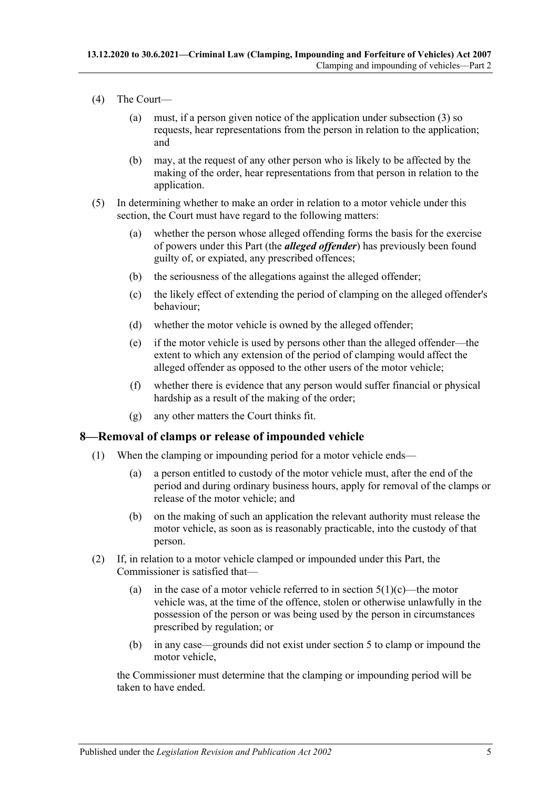- (4) The Court—
	- (a) must, if a person given notice of the application under [subsection](#page-3-2) (3) so requests, hear representations from the person in relation to the application; and
	- (b) may, at the request of any other person who is likely to be affected by the making of the order, hear representations from that person in relation to the application.
- (5) In determining whether to make an order in relation to a motor vehicle under this section, the Court must have regard to the following matters:
	- (a) whether the person whose alleged offending forms the basis for the exercise of powers under this Part (the *alleged offender*) has previously been found guilty of, or expiated, any prescribed offences;
	- (b) the seriousness of the allegations against the alleged offender;
	- (c) the likely effect of extending the period of clamping on the alleged offender's behaviour;
	- (d) whether the motor vehicle is owned by the alleged offender;
	- (e) if the motor vehicle is used by persons other than the alleged offender—the extent to which any extension of the period of clamping would affect the alleged offender as opposed to the other users of the motor vehicle;
	- (f) whether there is evidence that any person would suffer financial or physical hardship as a result of the making of the order;
	- (g) any other matters the Court thinks fit.

### <span id="page-4-0"></span>**8—Removal of clamps or release of impounded vehicle**

- (1) When the clamping or impounding period for a motor vehicle ends—
	- (a) a person entitled to custody of the motor vehicle must, after the end of the period and during ordinary business hours, apply for removal of the clamps or release of the motor vehicle; and
	- (b) on the making of such an application the relevant authority must release the motor vehicle, as soon as is reasonably practicable, into the custody of that person.
- <span id="page-4-1"></span>(2) If, in relation to a motor vehicle clamped or impounded under this Part, the Commissioner is satisfied that
	- (a) in the case of a motor vehicle referred to in [section](#page-2-4)  $5(1)(c)$ —the motor vehicle was, at the time of the offence, stolen or otherwise unlawfully in the possession of the person or was being used by the person in circumstances prescribed by regulation; or
	- (b) in any case—grounds did not exist under [section](#page-2-2) 5 to clamp or impound the motor vehicle,

the Commissioner must determine that the clamping or impounding period will be taken to have ended.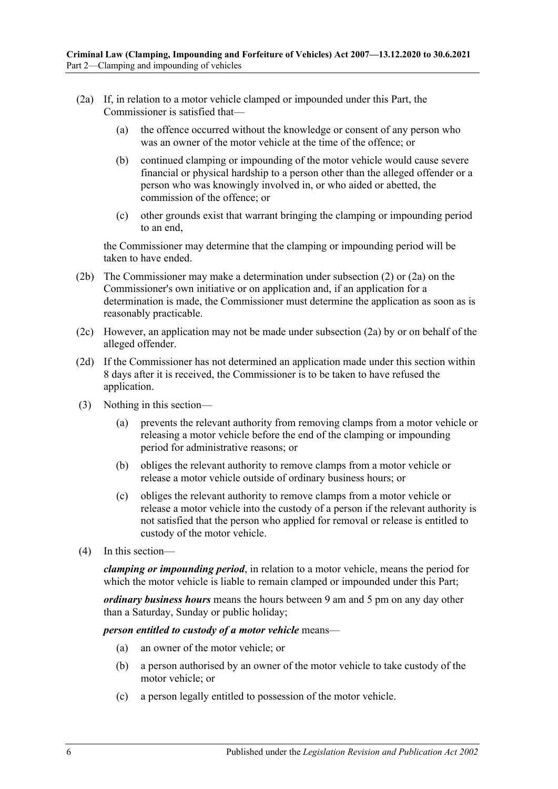- <span id="page-5-0"></span>(2a) If, in relation to a motor vehicle clamped or impounded under this Part, the Commissioner is satisfied that—
	- (a) the offence occurred without the knowledge or consent of any person who was an owner of the motor vehicle at the time of the offence; or
	- (b) continued clamping or impounding of the motor vehicle would cause severe financial or physical hardship to a person other than the alleged offender or a person who was knowingly involved in, or who aided or abetted, the commission of the offence; or
	- (c) other grounds exist that warrant bringing the clamping or impounding period to an end,

the Commissioner may determine that the clamping or impounding period will be taken to have ended.

- (2b) The Commissioner may make a determination under [subsection](#page-4-1) (2) or [\(2a\)](#page-5-0) on the Commissioner's own initiative or on application and, if an application for a determination is made, the Commissioner must determine the application as soon as is reasonably practicable.
- (2c) However, an application may not be made under [subsection](#page-5-0) (2a) by or on behalf of the alleged offender.
- (2d) If the Commissioner has not determined an application made under this section within 8 days after it is received, the Commissioner is to be taken to have refused the application.
- (3) Nothing in this section—
	- (a) prevents the relevant authority from removing clamps from a motor vehicle or releasing a motor vehicle before the end of the clamping or impounding period for administrative reasons; or
	- (b) obliges the relevant authority to remove clamps from a motor vehicle or release a motor vehicle outside of ordinary business hours; or
	- (c) obliges the relevant authority to remove clamps from a motor vehicle or release a motor vehicle into the custody of a person if the relevant authority is not satisfied that the person who applied for removal or release is entitled to custody of the motor vehicle.
- (4) In this section—

*clamping or impounding period*, in relation to a motor vehicle, means the period for which the motor vehicle is liable to remain clamped or impounded under this Part;

*ordinary business hours* means the hours between 9 am and 5 pm on any day other than a Saturday, Sunday or public holiday;

*person entitled to custody of a motor vehicle* means—

- (a) an owner of the motor vehicle; or
- (b) a person authorised by an owner of the motor vehicle to take custody of the motor vehicle; or
- (c) a person legally entitled to possession of the motor vehicle.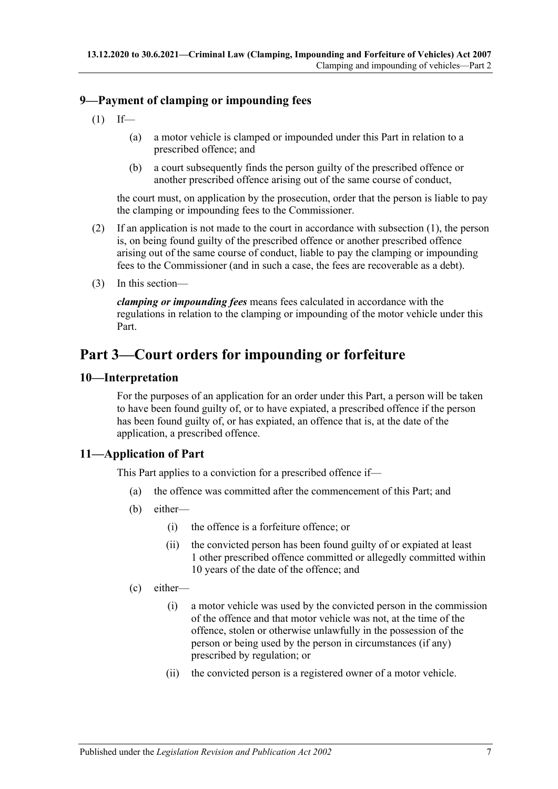### <span id="page-6-4"></span><span id="page-6-0"></span>**9—Payment of clamping or impounding fees**

- $(1)$  If—
	- (a) a motor vehicle is clamped or impounded under this Part in relation to a prescribed offence; and
	- (b) a court subsequently finds the person guilty of the prescribed offence or another prescribed offence arising out of the same course of conduct,

the court must, on application by the prosecution, order that the person is liable to pay the clamping or impounding fees to the Commissioner.

- (2) If an application is not made to the court in accordance with [subsection](#page-6-4) (1), the person is, on being found guilty of the prescribed offence or another prescribed offence arising out of the same course of conduct, liable to pay the clamping or impounding fees to the Commissioner (and in such a case, the fees are recoverable as a debt).
- (3) In this section—

*clamping or impounding fees* means fees calculated in accordance with the regulations in relation to the clamping or impounding of the motor vehicle under this Part.

# <span id="page-6-1"></span>**Part 3—Court orders for impounding or forfeiture**

### <span id="page-6-2"></span>**10—Interpretation**

For the purposes of an application for an order under this Part, a person will be taken to have been found guilty of, or to have expiated, a prescribed offence if the person has been found guilty of, or has expiated, an offence that is, at the date of the application, a prescribed offence.

### <span id="page-6-3"></span>**11—Application of Part**

This Part applies to a conviction for a prescribed offence if—

- (a) the offence was committed after the commencement of this Part; and
- (b) either—
	- (i) the offence is a forfeiture offence; or
	- (ii) the convicted person has been found guilty of or expiated at least 1 other prescribed offence committed or allegedly committed within 10 years of the date of the offence; and
- <span id="page-6-5"></span>(c) either—
	- (i) a motor vehicle was used by the convicted person in the commission of the offence and that motor vehicle was not, at the time of the offence, stolen or otherwise unlawfully in the possession of the person or being used by the person in circumstances (if any) prescribed by regulation; or
	- (ii) the convicted person is a registered owner of a motor vehicle.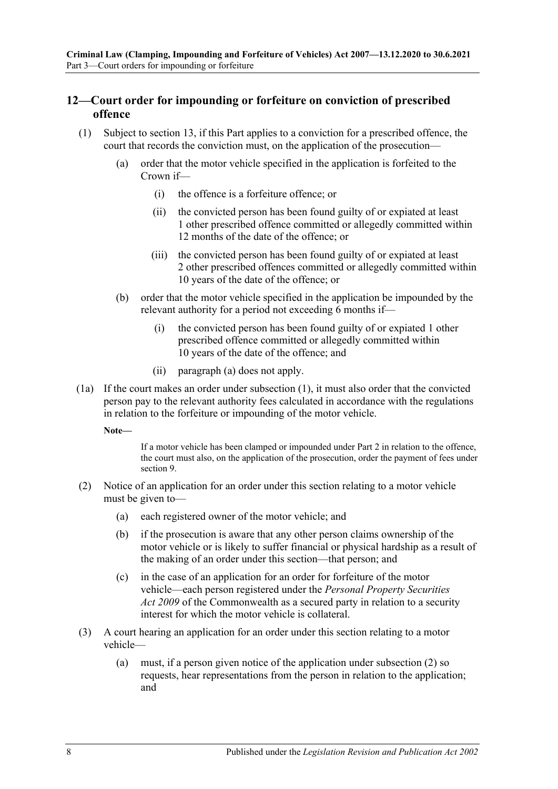### <span id="page-7-0"></span>**12—Court order for impounding or forfeiture on conviction of prescribed offence**

- <span id="page-7-2"></span><span id="page-7-1"></span>(1) Subject to [section](#page-8-0) 13, if this Part applies to a conviction for a prescribed offence, the court that records the conviction must, on the application of the prosecution—
	- (a) order that the motor vehicle specified in the application is forfeited to the Crown if—
		- (i) the offence is a forfeiture offence; or
		- (ii) the convicted person has been found guilty of or expiated at least 1 other prescribed offence committed or allegedly committed within 12 months of the date of the offence; or
		- (iii) the convicted person has been found guilty of or expiated at least 2 other prescribed offences committed or allegedly committed within 10 years of the date of the offence; or
	- (b) order that the motor vehicle specified in the application be impounded by the relevant authority for a period not exceeding 6 months if—
		- (i) the convicted person has been found guilty of or expiated 1 other prescribed offence committed or allegedly committed within 10 years of the date of the offence; and
		- (ii) [paragraph](#page-7-1) (a) does not apply.
- (1a) If the court makes an order under [subsection](#page-7-2) (1), it must also order that the convicted person pay to the relevant authority fees calculated in accordance with the regulations in relation to the forfeiture or impounding of the motor vehicle.

**Note—**

If a motor vehicle has been clamped or impounded under [Part 2](#page-2-1) in relation to the offence, the court must also, on the application of the prosecution, order the payment of fees under [section](#page-6-0) 9.

- <span id="page-7-3"></span>(2) Notice of an application for an order under this section relating to a motor vehicle must be given to—
	- (a) each registered owner of the motor vehicle; and
	- (b) if the prosecution is aware that any other person claims ownership of the motor vehicle or is likely to suffer financial or physical hardship as a result of the making of an order under this section—that person; and
	- (c) in the case of an application for an order for forfeiture of the motor vehicle—each person registered under the *Personal Property Securities Act 2009* of the Commonwealth as a secured party in relation to a security interest for which the motor vehicle is collateral.
- (3) A court hearing an application for an order under this section relating to a motor vehicle—
	- (a) must, if a person given notice of the application under [subsection](#page-7-3) (2) so requests, hear representations from the person in relation to the application; and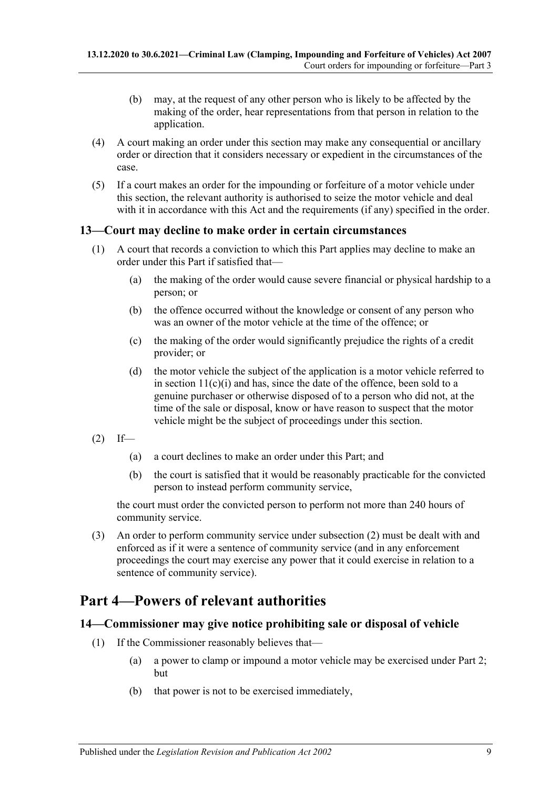- (b) may, at the request of any other person who is likely to be affected by the making of the order, hear representations from that person in relation to the application.
- (4) A court making an order under this section may make any consequential or ancillary order or direction that it considers necessary or expedient in the circumstances of the case.
- (5) If a court makes an order for the impounding or forfeiture of a motor vehicle under this section, the relevant authority is authorised to seize the motor vehicle and deal with it in accordance with this Act and the requirements (if any) specified in the order.

### <span id="page-8-0"></span>**13—Court may decline to make order in certain circumstances**

- (1) A court that records a conviction to which this Part applies may decline to make an order under this Part if satisfied that—
	- (a) the making of the order would cause severe financial or physical hardship to a person; or
	- (b) the offence occurred without the knowledge or consent of any person who was an owner of the motor vehicle at the time of the offence; or
	- (c) the making of the order would significantly prejudice the rights of a credit provider; or
	- (d) the motor vehicle the subject of the application is a motor vehicle referred to in section  $11(c)(i)$  and has, since the date of the offence, been sold to a genuine purchaser or otherwise disposed of to a person who did not, at the time of the sale or disposal, know or have reason to suspect that the motor vehicle might be the subject of proceedings under this section.
- <span id="page-8-3"></span> $(2)$  If—
	- (a) a court declines to make an order under this Part; and
	- (b) the court is satisfied that it would be reasonably practicable for the convicted person to instead perform community service,

the court must order the convicted person to perform not more than 240 hours of community service.

(3) An order to perform community service under [subsection](#page-8-3) (2) must be dealt with and enforced as if it were a sentence of community service (and in any enforcement proceedings the court may exercise any power that it could exercise in relation to a sentence of community service).

# <span id="page-8-1"></span>**Part 4—Powers of relevant authorities**

### <span id="page-8-2"></span>**14—Commissioner may give notice prohibiting sale or disposal of vehicle**

- (1) If the Commissioner reasonably believes that—
	- (a) a power to clamp or impound a motor vehicle may be exercised under [Part 2;](#page-2-1) but
	- (b) that power is not to be exercised immediately,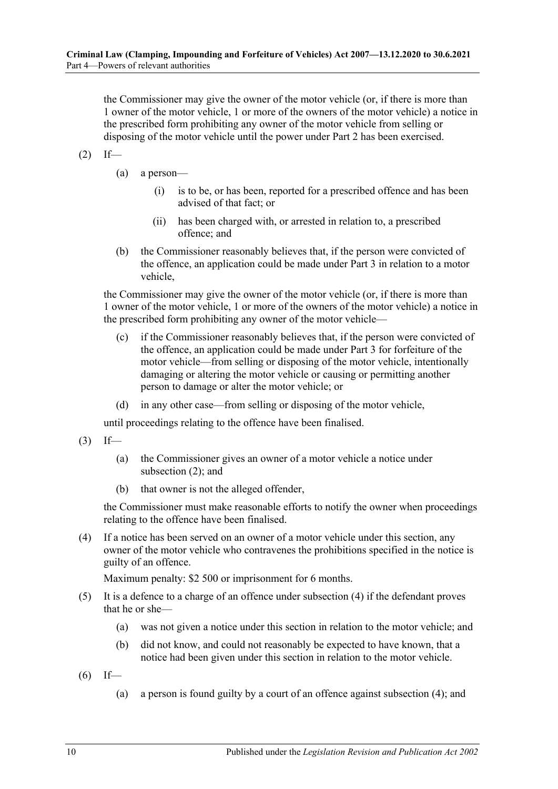the Commissioner may give the owner of the motor vehicle (or, if there is more than 1 owner of the motor vehicle, 1 or more of the owners of the motor vehicle) a notice in the prescribed form prohibiting any owner of the motor vehicle from selling or disposing of the motor vehicle until the power under [Part 2](#page-2-1) has been exercised.

- <span id="page-9-0"></span> $(2)$  If—
	- (a) a person—
		- (i) is to be, or has been, reported for a prescribed offence and has been advised of that fact; or
		- (ii) has been charged with, or arrested in relation to, a prescribed offence; and
	- (b) the Commissioner reasonably believes that, if the person were convicted of the offence, an application could be made under [Part 3](#page-6-1) in relation to a motor vehicle,

the Commissioner may give the owner of the motor vehicle (or, if there is more than 1 owner of the motor vehicle, 1 or more of the owners of the motor vehicle) a notice in the prescribed form prohibiting any owner of the motor vehicle—

- <span id="page-9-2"></span>(c) if the Commissioner reasonably believes that, if the person were convicted of the offence, an application could be made under [Part 3](#page-6-1) for forfeiture of the motor vehicle—from selling or disposing of the motor vehicle, intentionally damaging or altering the motor vehicle or causing or permitting another person to damage or alter the motor vehicle; or
- (d) in any other case—from selling or disposing of the motor vehicle,

until proceedings relating to the offence have been finalised.

 $(3)$  If—

- (a) the Commissioner gives an owner of a motor vehicle a notice under [subsection](#page-9-0) (2); and
- (b) that owner is not the alleged offender,

the Commissioner must make reasonable efforts to notify the owner when proceedings relating to the offence have been finalised.

<span id="page-9-1"></span>(4) If a notice has been served on an owner of a motor vehicle under this section, any owner of the motor vehicle who contravenes the prohibitions specified in the notice is guilty of an offence.

Maximum penalty: \$2 500 or imprisonment for 6 months.

- (5) It is a defence to a charge of an offence under [subsection](#page-9-1) (4) if the defendant proves that he or she—
	- (a) was not given a notice under this section in relation to the motor vehicle; and
	- (b) did not know, and could not reasonably be expected to have known, that a notice had been given under this section in relation to the motor vehicle.
- <span id="page-9-3"></span> $(6)$  If—
	- (a) a person is found guilty by a court of an offence against [subsection](#page-9-1) (4); and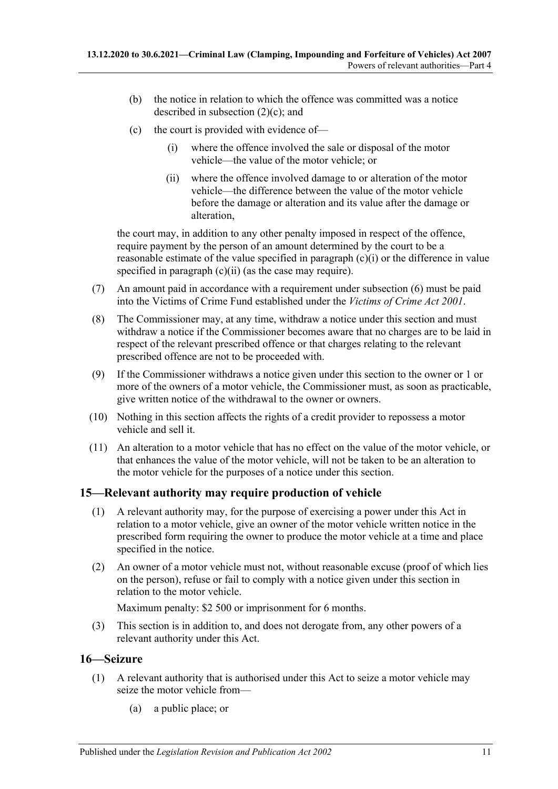- (b) the notice in relation to which the offence was committed was a notice described in [subsection](#page-9-2) (2)(c); and
- <span id="page-10-3"></span><span id="page-10-2"></span>(c) the court is provided with evidence of—
	- (i) where the offence involved the sale or disposal of the motor vehicle—the value of the motor vehicle; or
	- (ii) where the offence involved damage to or alteration of the motor vehicle—the difference between the value of the motor vehicle before the damage or alteration and its value after the damage or alteration,

the court may, in addition to any other penalty imposed in respect of the offence, require payment by the person of an amount determined by the court to be a reasonable estimate of the value specified in [paragraph](#page-10-2) (c)(i) or the difference in value specified in [paragraph](#page-10-3) (c)(ii) (as the case may require).

- (7) An amount paid in accordance with a requirement under [subsection](#page-9-3) (6) must be paid into the Victims of Crime Fund established under the *[Victims of Crime Act](http://www.legislation.sa.gov.au/index.aspx?action=legref&type=act&legtitle=Victims%20of%20Crime%20Act%202001) 2001*.
- (8) The Commissioner may, at any time, withdraw a notice under this section and must withdraw a notice if the Commissioner becomes aware that no charges are to be laid in respect of the relevant prescribed offence or that charges relating to the relevant prescribed offence are not to be proceeded with.
- (9) If the Commissioner withdraws a notice given under this section to the owner or 1 or more of the owners of a motor vehicle, the Commissioner must, as soon as practicable, give written notice of the withdrawal to the owner or owners.
- (10) Nothing in this section affects the rights of a credit provider to repossess a motor vehicle and sell it.
- (11) An alteration to a motor vehicle that has no effect on the value of the motor vehicle, or that enhances the value of the motor vehicle, will not be taken to be an alteration to the motor vehicle for the purposes of a notice under this section.

### <span id="page-10-0"></span>**15—Relevant authority may require production of vehicle**

- (1) A relevant authority may, for the purpose of exercising a power under this Act in relation to a motor vehicle, give an owner of the motor vehicle written notice in the prescribed form requiring the owner to produce the motor vehicle at a time and place specified in the notice.
- (2) An owner of a motor vehicle must not, without reasonable excuse (proof of which lies on the person), refuse or fail to comply with a notice given under this section in relation to the motor vehicle.

Maximum penalty: \$2 500 or imprisonment for 6 months.

(3) This section is in addition to, and does not derogate from, any other powers of a relevant authority under this Act.

### <span id="page-10-1"></span>**16—Seizure**

- (1) A relevant authority that is authorised under this Act to seize a motor vehicle may seize the motor vehicle from—
	- (a) a public place; or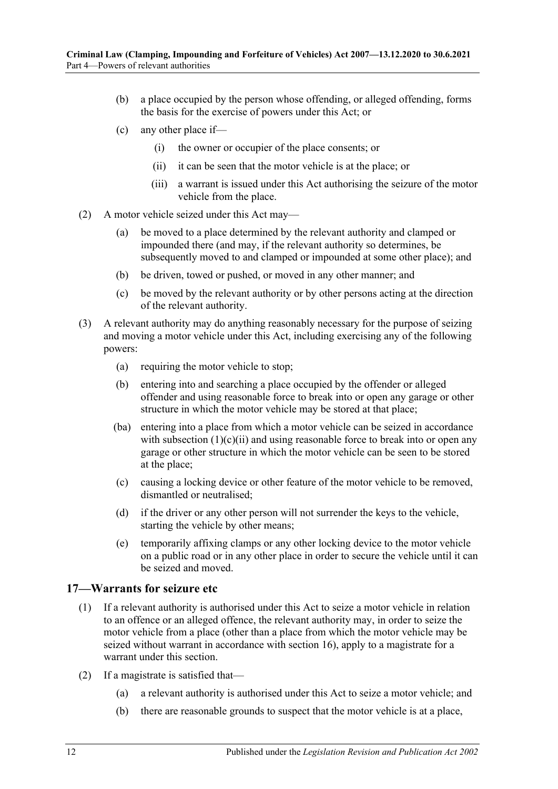- (b) a place occupied by the person whose offending, or alleged offending, forms the basis for the exercise of powers under this Act; or
- (c) any other place if—
	- (i) the owner or occupier of the place consents; or
	- (ii) it can be seen that the motor vehicle is at the place; or
	- (iii) a warrant is issued under this Act authorising the seizure of the motor vehicle from the place.
- <span id="page-11-2"></span>(2) A motor vehicle seized under this Act may—
	- (a) be moved to a place determined by the relevant authority and clamped or impounded there (and may, if the relevant authority so determines, be subsequently moved to and clamped or impounded at some other place); and
	- (b) be driven, towed or pushed, or moved in any other manner; and
	- (c) be moved by the relevant authority or by other persons acting at the direction of the relevant authority.
- <span id="page-11-1"></span>(3) A relevant authority may do anything reasonably necessary for the purpose of seizing and moving a motor vehicle under this Act, including exercising any of the following powers:
	- (a) requiring the motor vehicle to stop;
	- (b) entering into and searching a place occupied by the offender or alleged offender and using reasonable force to break into or open any garage or other structure in which the motor vehicle may be stored at that place;
	- (ba) entering into a place from which a motor vehicle can be seized in accordance with [subsection](#page-11-2)  $(1)(c)(ii)$  and using reasonable force to break into or open any garage or other structure in which the motor vehicle can be seen to be stored at the place;
	- (c) causing a locking device or other feature of the motor vehicle to be removed, dismantled or neutralised;
	- (d) if the driver or any other person will not surrender the keys to the vehicle, starting the vehicle by other means;
	- (e) temporarily affixing clamps or any other locking device to the motor vehicle on a public road or in any other place in order to secure the vehicle until it can be seized and moved.

#### <span id="page-11-0"></span>**17—Warrants for seizure etc**

- (1) If a relevant authority is authorised under this Act to seize a motor vehicle in relation to an offence or an alleged offence, the relevant authority may, in order to seize the motor vehicle from a place (other than a place from which the motor vehicle may be seized without warrant in accordance with [section](#page-10-1) 16), apply to a magistrate for a warrant under this section.
- (2) If a magistrate is satisfied that—
	- (a) a relevant authority is authorised under this Act to seize a motor vehicle; and
	- (b) there are reasonable grounds to suspect that the motor vehicle is at a place,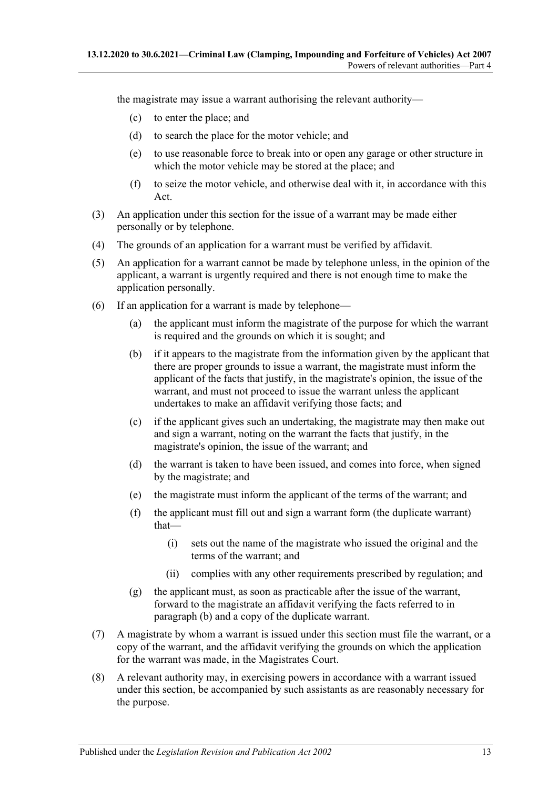the magistrate may issue a warrant authorising the relevant authority—

- (c) to enter the place; and
- (d) to search the place for the motor vehicle; and
- (e) to use reasonable force to break into or open any garage or other structure in which the motor vehicle may be stored at the place; and
- (f) to seize the motor vehicle, and otherwise deal with it, in accordance with this Act.
- (3) An application under this section for the issue of a warrant may be made either personally or by telephone.
- (4) The grounds of an application for a warrant must be verified by affidavit.
- (5) An application for a warrant cannot be made by telephone unless, in the opinion of the applicant, a warrant is urgently required and there is not enough time to make the application personally.
- <span id="page-12-0"></span>(6) If an application for a warrant is made by telephone—
	- (a) the applicant must inform the magistrate of the purpose for which the warrant is required and the grounds on which it is sought; and
	- (b) if it appears to the magistrate from the information given by the applicant that there are proper grounds to issue a warrant, the magistrate must inform the applicant of the facts that justify, in the magistrate's opinion, the issue of the warrant, and must not proceed to issue the warrant unless the applicant undertakes to make an affidavit verifying those facts; and
	- (c) if the applicant gives such an undertaking, the magistrate may then make out and sign a warrant, noting on the warrant the facts that justify, in the magistrate's opinion, the issue of the warrant; and
	- (d) the warrant is taken to have been issued, and comes into force, when signed by the magistrate; and
	- (e) the magistrate must inform the applicant of the terms of the warrant; and
	- (f) the applicant must fill out and sign a warrant form (the duplicate warrant) that—
		- (i) sets out the name of the magistrate who issued the original and the terms of the warrant; and
		- (ii) complies with any other requirements prescribed by regulation; and
	- (g) the applicant must, as soon as practicable after the issue of the warrant, forward to the magistrate an affidavit verifying the facts referred to in [paragraph](#page-12-0) (b) and a copy of the duplicate warrant.
- (7) A magistrate by whom a warrant is issued under this section must file the warrant, or a copy of the warrant, and the affidavit verifying the grounds on which the application for the warrant was made, in the Magistrates Court.
- (8) A relevant authority may, in exercising powers in accordance with a warrant issued under this section, be accompanied by such assistants as are reasonably necessary for the purpose.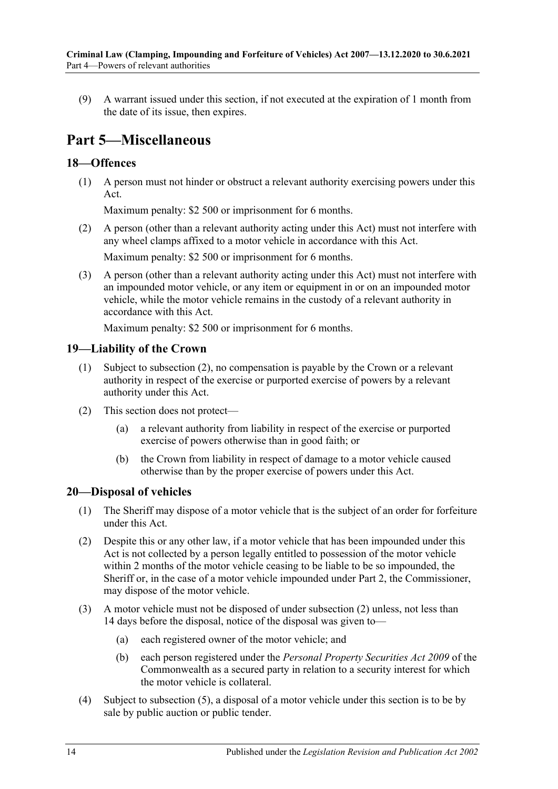(9) A warrant issued under this section, if not executed at the expiration of 1 month from the date of its issue, then expires.

# <span id="page-13-0"></span>**Part 5—Miscellaneous**

### <span id="page-13-1"></span>**18—Offences**

(1) A person must not hinder or obstruct a relevant authority exercising powers under this Act.

Maximum penalty: \$2 500 or imprisonment for 6 months.

- (2) A person (other than a relevant authority acting under this Act) must not interfere with any wheel clamps affixed to a motor vehicle in accordance with this Act. Maximum penalty: \$2 500 or imprisonment for 6 months.
- (3) A person (other than a relevant authority acting under this Act) must not interfere with an impounded motor vehicle, or any item or equipment in or on an impounded motor vehicle, while the motor vehicle remains in the custody of a relevant authority in accordance with this Act.

Maximum penalty: \$2 500 or imprisonment for 6 months.

### <span id="page-13-2"></span>**19—Liability of the Crown**

- (1) Subject to [subsection](#page-13-4) (2), no compensation is payable by the Crown or a relevant authority in respect of the exercise or purported exercise of powers by a relevant authority under this Act.
- <span id="page-13-4"></span>(2) This section does not protect—
	- (a) a relevant authority from liability in respect of the exercise or purported exercise of powers otherwise than in good faith; or
	- (b) the Crown from liability in respect of damage to a motor vehicle caused otherwise than by the proper exercise of powers under this Act.

### <span id="page-13-3"></span>**20—Disposal of vehicles**

- (1) The Sheriff may dispose of a motor vehicle that is the subject of an order for forfeiture under this Act.
- <span id="page-13-5"></span>(2) Despite this or any other law, if a motor vehicle that has been impounded under this Act is not collected by a person legally entitled to possession of the motor vehicle within 2 months of the motor vehicle ceasing to be liable to be so impounded, the Sheriff or, in the case of a motor vehicle impounded under [Part 2,](#page-2-1) the Commissioner, may dispose of the motor vehicle.
- (3) A motor vehicle must not be disposed of under [subsection](#page-13-5) (2) unless, not less than 14 days before the disposal, notice of the disposal was given to—
	- (a) each registered owner of the motor vehicle; and
	- (b) each person registered under the *Personal Property Securities Act 2009* of the Commonwealth as a secured party in relation to a security interest for which the motor vehicle is collateral.
- (4) Subject to [subsection](#page-14-0) (5), a disposal of a motor vehicle under this section is to be by sale by public auction or public tender.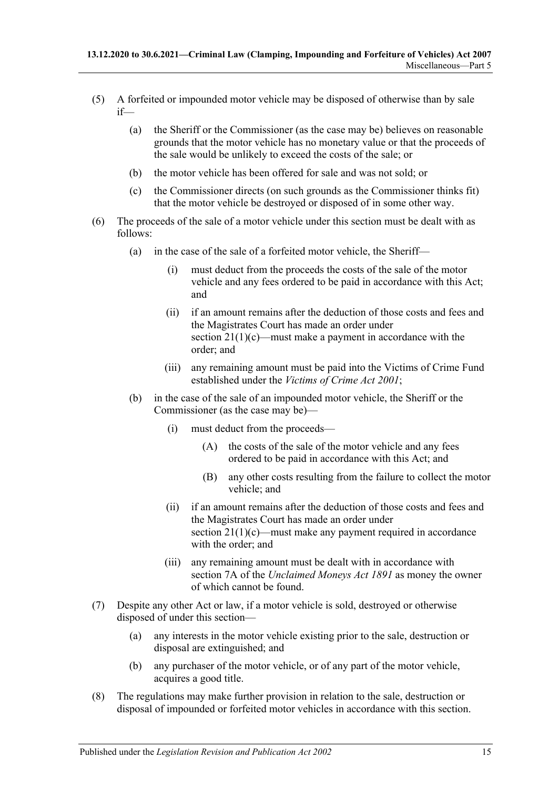- <span id="page-14-0"></span>(5) A forfeited or impounded motor vehicle may be disposed of otherwise than by sale if—
	- (a) the Sheriff or the Commissioner (as the case may be) believes on reasonable grounds that the motor vehicle has no monetary value or that the proceeds of the sale would be unlikely to exceed the costs of the sale; or
	- (b) the motor vehicle has been offered for sale and was not sold; or
	- (c) the Commissioner directs (on such grounds as the Commissioner thinks fit) that the motor vehicle be destroyed or disposed of in some other way.
- <span id="page-14-1"></span>(6) The proceeds of the sale of a motor vehicle under this section must be dealt with as follows:
	- (a) in the case of the sale of a forfeited motor vehicle, the Sheriff—
		- (i) must deduct from the proceeds the costs of the sale of the motor vehicle and any fees ordered to be paid in accordance with this Act; and
		- (ii) if an amount remains after the deduction of those costs and fees and the Magistrates Court has made an order under section [21\(1\)\(c\)—](#page-15-2)must make a payment in accordance with the order; and
		- (iii) any remaining amount must be paid into the Victims of Crime Fund established under the *[Victims of Crime Act](http://www.legislation.sa.gov.au/index.aspx?action=legref&type=act&legtitle=Victims%20of%20Crime%20Act%202001) 2001*;
	- (b) in the case of the sale of an impounded motor vehicle, the Sheriff or the Commissioner (as the case may be)—
		- (i) must deduct from the proceeds—
			- (A) the costs of the sale of the motor vehicle and any fees ordered to be paid in accordance with this Act; and
			- (B) any other costs resulting from the failure to collect the motor vehicle; and
		- (ii) if an amount remains after the deduction of those costs and fees and the Magistrates Court has made an order under section  $21(1)(c)$ —must make any payment required in accordance with the order; and
		- (iii) any remaining amount must be dealt with in accordance with section 7A of the *[Unclaimed Moneys Act](http://www.legislation.sa.gov.au/index.aspx?action=legref&type=act&legtitle=Unclaimed%20Moneys%20Act%201891) 1891* as money the owner of which cannot be found.
- (7) Despite any other Act or law, if a motor vehicle is sold, destroyed or otherwise disposed of under this section—
	- (a) any interests in the motor vehicle existing prior to the sale, destruction or disposal are extinguished; and
	- (b) any purchaser of the motor vehicle, or of any part of the motor vehicle, acquires a good title.
- (8) The regulations may make further provision in relation to the sale, destruction or disposal of impounded or forfeited motor vehicles in accordance with this section.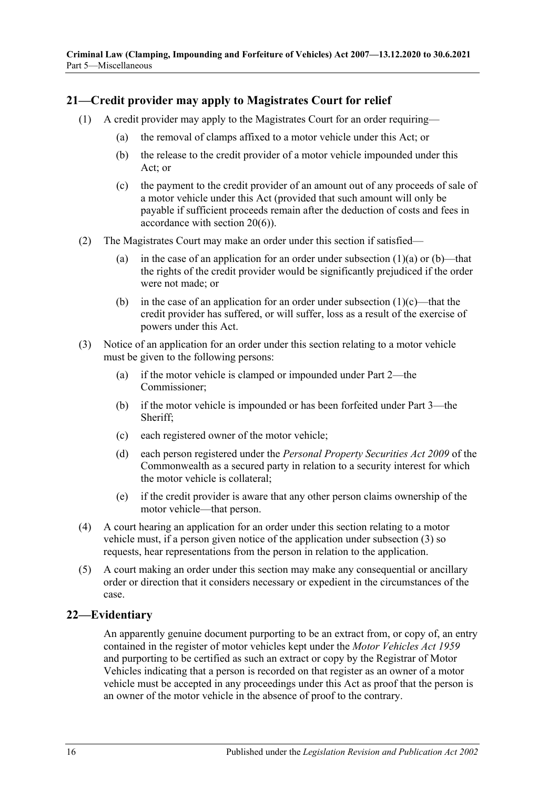### <span id="page-15-0"></span>**21—Credit provider may apply to Magistrates Court for relief**

- <span id="page-15-4"></span><span id="page-15-3"></span><span id="page-15-2"></span>(1) A credit provider may apply to the Magistrates Court for an order requiring—
	- (a) the removal of clamps affixed to a motor vehicle under this Act; or
	- (b) the release to the credit provider of a motor vehicle impounded under this Act; or
	- (c) the payment to the credit provider of an amount out of any proceeds of sale of a motor vehicle under this Act (provided that such amount will only be payable if sufficient proceeds remain after the deduction of costs and fees in accordance with [section](#page-14-1) 20(6)).
- (2) The Magistrates Court may make an order under this section if satisfied
	- (a) in the case of an application for an order under [subsection](#page-15-3)  $(1)(a)$  or  $(b)$ —that the rights of the credit provider would be significantly prejudiced if the order were not made; or
	- (b) in the case of an application for an order under [subsection](#page-15-2)  $(1)(c)$ —that the credit provider has suffered, or will suffer, loss as a result of the exercise of powers under this Act.
- <span id="page-15-5"></span>(3) Notice of an application for an order under this section relating to a motor vehicle must be given to the following persons:
	- (a) if the motor vehicle is clamped or impounded under [Part 2—](#page-2-1)the Commissioner;
	- (b) if the motor vehicle is impounded or has been forfeited under [Part 3—](#page-6-1)the Sheriff;
	- (c) each registered owner of the motor vehicle;
	- (d) each person registered under the *Personal Property Securities Act 2009* of the Commonwealth as a secured party in relation to a security interest for which the motor vehicle is collateral;
	- (e) if the credit provider is aware that any other person claims ownership of the motor vehicle—that person.
- (4) A court hearing an application for an order under this section relating to a motor vehicle must, if a person given notice of the application under [subsection](#page-15-5) (3) so requests, hear representations from the person in relation to the application.
- (5) A court making an order under this section may make any consequential or ancillary order or direction that it considers necessary or expedient in the circumstances of the case.

### <span id="page-15-1"></span>**22—Evidentiary**

An apparently genuine document purporting to be an extract from, or copy of, an entry contained in the register of motor vehicles kept under the *[Motor Vehicles Act](http://www.legislation.sa.gov.au/index.aspx?action=legref&type=act&legtitle=Motor%20Vehicles%20Act%201959) 1959* and purporting to be certified as such an extract or copy by the Registrar of Motor Vehicles indicating that a person is recorded on that register as an owner of a motor vehicle must be accepted in any proceedings under this Act as proof that the person is an owner of the motor vehicle in the absence of proof to the contrary.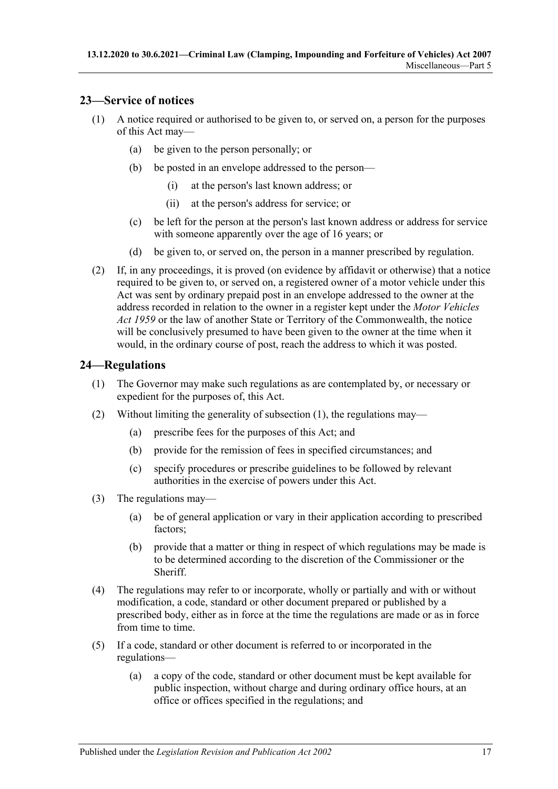### <span id="page-16-0"></span>**23—Service of notices**

- (1) A notice required or authorised to be given to, or served on, a person for the purposes of this Act may—
	- (a) be given to the person personally; or
	- (b) be posted in an envelope addressed to the person—
		- (i) at the person's last known address; or
		- (ii) at the person's address for service; or
	- (c) be left for the person at the person's last known address or address for service with someone apparently over the age of 16 years; or
	- (d) be given to, or served on, the person in a manner prescribed by regulation.
- (2) If, in any proceedings, it is proved (on evidence by affidavit or otherwise) that a notice required to be given to, or served on, a registered owner of a motor vehicle under this Act was sent by ordinary prepaid post in an envelope addressed to the owner at the address recorded in relation to the owner in a register kept under the *[Motor Vehicles](http://www.legislation.sa.gov.au/index.aspx?action=legref&type=act&legtitle=Motor%20Vehicles%20Act%201959)  Act [1959](http://www.legislation.sa.gov.au/index.aspx?action=legref&type=act&legtitle=Motor%20Vehicles%20Act%201959)* or the law of another State or Territory of the Commonwealth, the notice will be conclusively presumed to have been given to the owner at the time when it would, in the ordinary course of post, reach the address to which it was posted.

### <span id="page-16-2"></span><span id="page-16-1"></span>**24—Regulations**

- (1) The Governor may make such regulations as are contemplated by, or necessary or expedient for the purposes of, this Act.
- (2) Without limiting the generality of [subsection](#page-16-2) (1), the regulations may—
	- (a) prescribe fees for the purposes of this Act; and
	- (b) provide for the remission of fees in specified circumstances; and
	- (c) specify procedures or prescribe guidelines to be followed by relevant authorities in the exercise of powers under this Act.
- (3) The regulations may—
	- (a) be of general application or vary in their application according to prescribed factors;
	- (b) provide that a matter or thing in respect of which regulations may be made is to be determined according to the discretion of the Commissioner or the Sheriff.
- (4) The regulations may refer to or incorporate, wholly or partially and with or without modification, a code, standard or other document prepared or published by a prescribed body, either as in force at the time the regulations are made or as in force from time to time.
- (5) If a code, standard or other document is referred to or incorporated in the regulations—
	- (a) a copy of the code, standard or other document must be kept available for public inspection, without charge and during ordinary office hours, at an office or offices specified in the regulations; and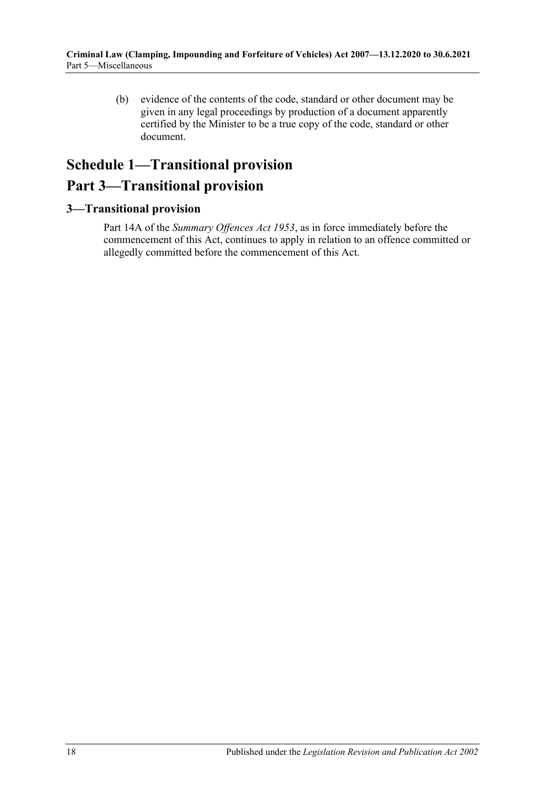(b) evidence of the contents of the code, standard or other document may be given in any legal proceedings by production of a document apparently certified by the Minister to be a true copy of the code, standard or other document.

# <span id="page-17-0"></span>**Schedule 1—Transitional provision Part 3—Transitional provision**

### <span id="page-17-1"></span>**3—Transitional provision**

Part 14A of the *[Summary Offences Act](http://www.legislation.sa.gov.au/index.aspx?action=legref&type=act&legtitle=Summary%20Offences%20Act%201953) 1953*, as in force immediately before the commencement of this Act, continues to apply in relation to an offence committed or allegedly committed before the commencement of this Act.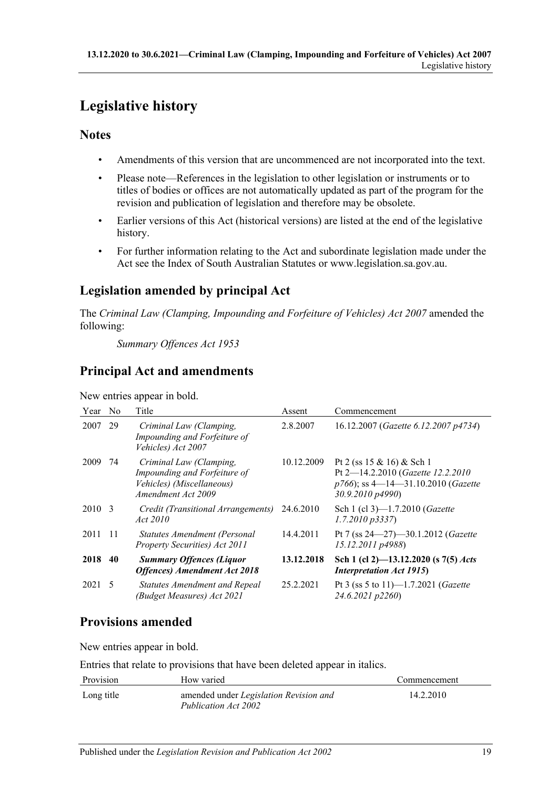# <span id="page-18-0"></span>**Legislative history**

## **Notes**

- Amendments of this version that are uncommenced are not incorporated into the text.
- Please note—References in the legislation to other legislation or instruments or to titles of bodies or offices are not automatically updated as part of the program for the revision and publication of legislation and therefore may be obsolete.
- Earlier versions of this Act (historical versions) are listed at the end of the legislative history.
- For further information relating to the Act and subordinate legislation made under the Act see the Index of South Australian Statutes or www.legislation.sa.gov.au.

# **Legislation amended by principal Act**

The *Criminal Law (Clamping, Impounding and Forfeiture of Vehicles) Act 2007* amended the following:

*Summary Offences Act 1953*

# **Principal Act and amendments**

New entries appear in bold.

| Year   | N <sub>0</sub> | Title                                                                                                      | Assent     | Commencement                                                                                                               |
|--------|----------------|------------------------------------------------------------------------------------------------------------|------------|----------------------------------------------------------------------------------------------------------------------------|
| 2007   | 29             | Criminal Law (Clamping,<br>Impounding and Forfeiture of<br>Vehicles) Act 2007                              | 2.8.2007   | 16.12.2007 (Gazette 6.12.2007 p4734)                                                                                       |
| 2009   | 74             | Criminal Law (Clamping,<br>Impounding and Forfeiture of<br>Vehicles) (Miscellaneous)<br>Amendment Act 2009 | 10.12.2009 | Pt 2 (ss 15 & 16) & Sch 1<br>Pt 2-14.2.2010 (Gazette 12.2.2010<br>$p766$ ; ss 4—14—31.10.2010 (Gazette<br>30.9.2010 p4990) |
| 2010 3 |                | Credit (Transitional Arrangements)<br>Act 2010                                                             | 24.6.2010  | Sch 1 (cl 3)-1.7.2010 (Gazette<br>$1.7.2010\,\overline{p}3337$                                                             |
| 2011   | -11            | Statutes Amendment (Personal<br>Property Securities) Act 2011                                              | 14.4.2011  | Pt 7 (ss 24–27)–30.1.2012 (Gazette<br>15.12.2011 p4988)                                                                    |
| 2018   | 40             | <b>Summary Offences (Liquor</b><br><b>Offences</b> ) Amendment Act 2018                                    | 13.12.2018 | Sch 1 (cl 2)-13.12.2020 (s 7(5) Acts<br><b>Interpretation Act 1915)</b>                                                    |
| 2021 5 |                | <b>Statutes Amendment and Repeal</b><br>(Budget Measures) Act 2021                                         | 25.2.2021  | Pt 3 (ss 5 to 11)-1.7.2021 ( <i>Gazette</i><br>24.6.2021 p2260)                                                            |

# **Provisions amended**

New entries appear in bold.

Entries that relate to provisions that have been deleted appear in italics.

| Provision  | How varied                                                     | Commencement |
|------------|----------------------------------------------------------------|--------------|
| Long title | amended under Legislation Revision and<br>Publication Act 2002 | 14.2.2010    |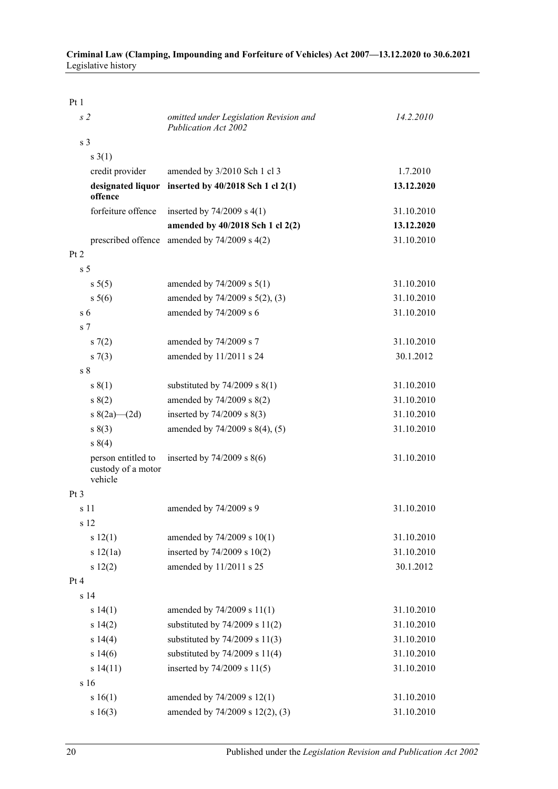Pt 1

| s2                                                  | omitted under Legislation Revision and<br>Publication Act 2002 | 14.2.2010  |
|-----------------------------------------------------|----------------------------------------------------------------|------------|
| s <sub>3</sub>                                      |                                                                |            |
| $s \; 3(1)$                                         |                                                                |            |
| credit provider                                     | amended by 3/2010 Sch 1 cl 3                                   | 1.7.2010   |
| offence                                             | designated liquor inserted by 40/2018 Sch 1 cl 2(1)            | 13.12.2020 |
| forfeiture offence                                  | inserted by $74/2009$ s $4(1)$                                 | 31.10.2010 |
|                                                     | amended by 40/2018 Sch 1 cl 2(2)                               | 13.12.2020 |
|                                                     | prescribed offence amended by $74/2009$ s $4(2)$               | 31.10.2010 |
| Pt 2                                                |                                                                |            |
| s <sub>5</sub>                                      |                                                                |            |
| s 5(5)                                              | amended by $74/2009$ s $5(1)$                                  | 31.10.2010 |
| $s \ 5(6)$                                          | amended by 74/2009 s 5(2), (3)                                 | 31.10.2010 |
| s <sub>6</sub>                                      | amended by 74/2009 s 6                                         | 31.10.2010 |
| s <sub>7</sub>                                      |                                                                |            |
| s(7(2)                                              | amended by 74/2009 s 7                                         | 31.10.2010 |
| $s \, 7(3)$                                         | amended by 11/2011 s 24                                        | 30.1.2012  |
| s <sub>8</sub>                                      |                                                                |            |
| s(1)                                                | substituted by $74/2009$ s $8(1)$                              | 31.10.2010 |
| s(2)                                                | amended by 74/2009 s 8(2)                                      | 31.10.2010 |
| s $8(2a)$ (2d)                                      | inserted by $74/2009$ s $8(3)$                                 | 31.10.2010 |
| s(3)                                                | amended by 74/2009 s 8(4), (5)                                 | 31.10.2010 |
| s 8(4)                                              |                                                                |            |
| person entitled to<br>custody of a motor<br>vehicle | inserted by $74/2009$ s $8(6)$                                 | 31.10.2010 |
| Pt <sub>3</sub>                                     |                                                                |            |
| s 11                                                | amended by 74/2009 s 9                                         | 31.10.2010 |
| s 12                                                |                                                                |            |
| s 12(1)                                             | amended by 74/2009 s 10(1)                                     | 31.10.2010 |
| s 12(1a)                                            | inserted by 74/2009 s 10(2)                                    | 31.10.2010 |
| s 12(2)                                             | amended by 11/2011 s 25                                        | 30.1.2012  |
| Pt4                                                 |                                                                |            |
| s <sub>14</sub>                                     |                                                                |            |
| s 14(1)                                             | amended by 74/2009 s 11(1)                                     | 31.10.2010 |
| s 14(2)                                             | substituted by $74/2009$ s $11(2)$                             | 31.10.2010 |
| s 14(4)                                             | substituted by $74/2009$ s $11(3)$                             | 31.10.2010 |
| s 14(6)                                             | substituted by $74/2009$ s $11(4)$                             | 31.10.2010 |
| s14(11)                                             | inserted by 74/2009 s 11(5)                                    | 31.10.2010 |
| s 16                                                |                                                                |            |
| s 16(1)                                             | amended by 74/2009 s 12(1)                                     | 31.10.2010 |
| s 16(3)                                             | amended by 74/2009 s 12(2), (3)                                | 31.10.2010 |